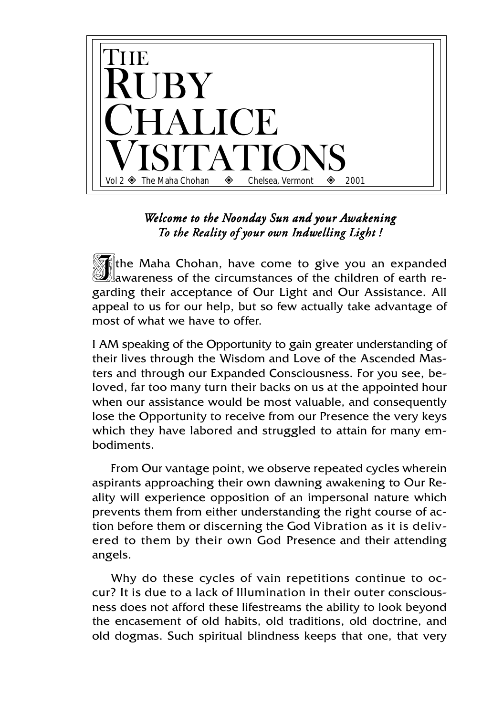

## *Welcome to the Noonday Sun and your Awakening To the Reality of y eality of your own Indwelling Light !*

 $\mathbb{I}$ the Maha Chohan, have come to give you an expanded awareness of the circumstances of the children of earth regarding their acceptance of Our Light and Our Assistance. All appeal to us for our help, but so few actually take advantage of most of what we have to offer.

I AM speaking of the Opportunity to gain greater understanding of their lives through the Wisdom and Love of the Ascended Masters and through our Expanded Consciousness. For you see, beloved, far too many turn their backs on us at the appointed hour when our assistance would be most valuable, and consequently lose the Opportunity to receive from our Presence the very keys which they have labored and struggled to attain for many embodiments.

From Our vantage point, we observe repeated cycles wherein aspirants approaching their own dawning awakening to Our Reality will experience opposition of an impersonal nature which prevents them from either understanding the right course of action before them or discerning the God Vibration as it is delivered to them by their own God Presence and their attending angels.

Why do these cycles of vain repetitions continue to occur? It is due to a lack of Illumination in their outer consciousness does not afford these lifestreams the ability to look beyond the encasement of old habits, old traditions, old doctrine, and old dogmas. Such spiritual blindness keeps that one, that very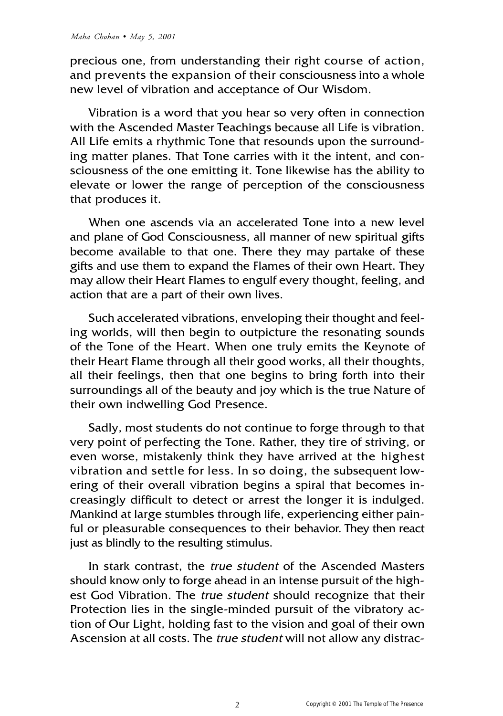precious one, from understanding their right course of action, and prevents the expansion of their consciousness into a whole new level of vibration and acceptance of Our Wisdom.

Vibration is a word that you hear so very often in connection with the Ascended Master Teachings because all Life is vibration. All Life emits a rhythmic Tone that resounds upon the surrounding matter planes. That Tone carries with it the intent, and consciousness of the one emitting it. Tone likewise has the ability to elevate or lower the range of perception of the consciousness that produces it.

When one ascends via an accelerated Tone into a new level and plane of God Consciousness, all manner of new spiritual gifts become available to that one. There they may partake of these gifts and use them to expand the Flames of their own Heart. They may allow their Heart Flames to engulf every thought, feeling, and action that are a part of their own lives.

Such accelerated vibrations, enveloping their thought and feeling worlds, will then begin to outpicture the resonating sounds of the Tone of the Heart. When one truly emits the Keynote of their Heart Flame through all their good works, all their thoughts, all their feelings, then that one begins to bring forth into their surroundings all of the beauty and joy which is the true Nature of their own indwelling God Presence.

Sadly, most students do not continue to forge through to that very point of perfecting the Tone. Rather, they tire of striving, or even worse, mistakenly think they have arrived at the highest vibration and settle for less. In so doing, the subsequent lowering of their overall vibration begins a spiral that becomes increasingly difficult to detect or arrest the longer it is indulged. Mankind at large stumbles through life, experiencing either painful or pleasurable consequences to their behavior. They then react just as blindly to the resulting stimulus.

In stark contrast, the true student of the Ascended Masters should know only to forge ahead in an intense pursuit of the highest God Vibration. The true student should recognize that their Protection lies in the single-minded pursuit of the vibratory action of Our Light, holding fast to the vision and goal of their own Ascension at all costs. The true student will not allow any distrac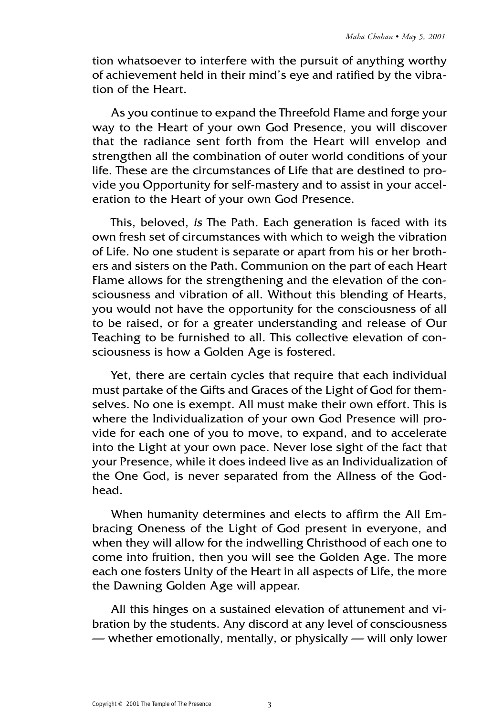tion whatsoever to interfere with the pursuit of anything worthy of achievement held in their mind's eye and ratified by the vibration of the Heart.

As you continue to expand the Threefold Flame and forge your way to the Heart of your own God Presence, you will discover that the radiance sent forth from the Heart will envelop and strengthen all the combination of outer world conditions of your life. These are the circumstances of Life that are destined to provide you Opportunity for self-mastery and to assist in your acceleration to the Heart of your own God Presence.

This, beloved, is The Path. Each generation is faced with its own fresh set of circumstances with which to weigh the vibration of Life. No one student is separate or apart from his or her brothers and sisters on the Path. Communion on the part of each Heart Flame allows for the strengthening and the elevation of the consciousness and vibration of all. Without this blending of Hearts, you would not have the opportunity for the consciousness of all to be raised, or for a greater understanding and release of Our Teaching to be furnished to all. This collective elevation of consciousness is how a Golden Age is fostered.

Yet, there are certain cycles that require that each individual must partake of the Gifts and Graces of the Light of God for themselves. No one is exempt. All must make their own effort. This is where the Individualization of your own God Presence will provide for each one of you to move, to expand, and to accelerate into the Light at your own pace. Never lose sight of the fact that your Presence, while it does indeed live as an Individualization of the One God, is never separated from the Allness of the Godhead.

When humanity determines and elects to affirm the All Embracing Oneness of the Light of God present in everyone, and when they will allow for the indwelling Christhood of each one to come into fruition, then you will see the Golden Age. The more each one fosters Unity of the Heart in all aspects of Life, the more the Dawning Golden Age will appear.

All this hinges on a sustained elevation of attunement and vibration by the students. Any discord at any level of consciousness — whether emotionally, mentally, or physically — will only lower